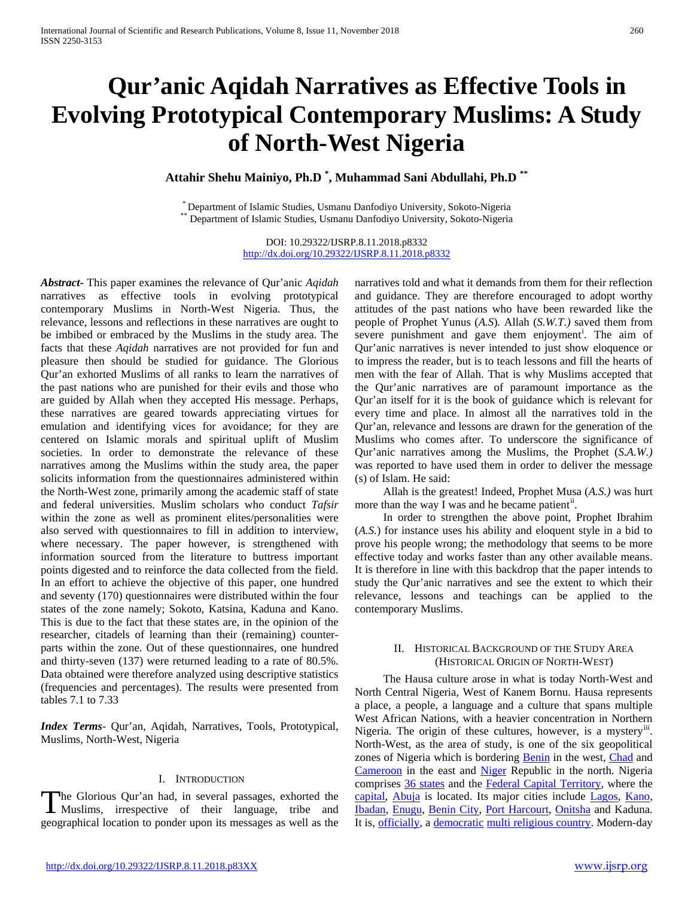# **Qur'anic Aqidah Narratives as Effective Tools in Evolving Prototypical Contemporary Muslims: A Study of North-West Nigeria**

## **Attahir Shehu Mainiyo, Ph.D \* , Muhammad Sani Abdullahi, Ph.D \*\***

\* Department of Islamic Studies, Usmanu Danfodiyo University, Sokoto-Nigeria \*\* Department of Islamic Studies, Usmanu Danfodiyo University, Sokoto-Nigeria

DOI: 10.29322/IJSRP.8.11.2018.p8332 <http://dx.doi.org/10.29322/IJSRP.8.11.2018.p8332>

*Abstract***-** This paper examines the relevance of Qur'anic *Aqidah*  narratives as effective tools in evolving prototypical contemporary Muslims in North-West Nigeria. Thus, the relevance, lessons and reflections in these narratives are ought to be imbibed or embraced by the Muslims in the study area. The facts that these *Aqidah* narratives are not provided for fun and pleasure then should be studied for guidance. The Glorious Qur'an exhorted Muslims of all ranks to learn the narratives of the past nations who are punished for their evils and those who are guided by Allah when they accepted His message. Perhaps, these narratives are geared towards appreciating virtues for emulation and identifying vices for avoidance; for they are centered on Islamic morals and spiritual uplift of Muslim societies. In order to demonstrate the relevance of these narratives among the Muslims within the study area, the paper solicits information from the questionnaires administered within the North-West zone, primarily among the academic staff of state and federal universities. Muslim scholars who conduct *Tafsir*  within the zone as well as prominent elites/personalities were also served with questionnaires to fill in addition to interview, where necessary. The paper however, is strengthened with information sourced from the literature to buttress important points digested and to reinforce the data collected from the field. In an effort to achieve the objective of this paper, one hundred and seventy (170) questionnaires were distributed within the four states of the zone namely; Sokoto, Katsina, Kaduna and Kano. This is due to the fact that these states are, in the opinion of the researcher, citadels of learning than their (remaining) counterparts within the zone. Out of these questionnaires, one hundred and thirty-seven (137) were returned leading to a rate of 80.5%. Data obtained were therefore analyzed using descriptive statistics (frequencies and percentages). The results were presented from tables 7.1 to 7.33

*Index Terms*- Qur'an, Aqidah, Narratives, Tools, Prototypical, Muslims, North-West, Nigeria

#### I. INTRODUCTION

he Glorious Qur'an had, in several passages, exhorted the The Glorious Qur'an had, in several passages, exhorted the Muslims, irrespective of their language, tribe and geographical location to ponder upon its messages as well as the

narratives told and what it demands from them for their reflection and guidance. They are therefore encouraged to adopt worthy attitudes of the past nations who have been rewarded like the people of Prophet Yunus (*A.S*)*.* Allah (*S.W.T.)* saved them from severe pun[i](#page-14-0)shment and gave them enjoyment<sup>i</sup>. The aim of Qur'anic narratives is never intended to just show eloquence or to impress the reader, but is to teach lessons and fill the hearts of men with the fear of Allah. That is why Muslims accepted that the Qur'anic narratives are of paramount importance as the Qur'an itself for it is the book of guidance which is relevant for every time and place. In almost all the narratives told in the Qur'an, relevance and lessons are drawn for the generation of the Muslims who comes after. To underscore the significance of Qur'anic narratives among the Muslims, the Prophet (*S.A.W.)*  was reported to have used them in order to deliver the message (s) of Islam. He said:

 Allah is the greatest! Indeed, Prophet Musa (*A.S.)* was hurt more than the way I was and he became patient<sup>[ii](#page-14-1)</sup>.

 In order to strengthen the above point, Prophet Ibrahim (*A.S.*) for instance uses his ability and eloquent style in a bid to prove his people wrong; the methodology that seems to be more effective today and works faster than any other available means. It is therefore in line with this backdrop that the paper intends to study the Qur'anic narratives and see the extent to which their relevance, lessons and teachings can be applied to the contemporary Muslims.

#### II. HISTORICAL BACKGROUND OF THE STUDY AREA (HISTORICAL ORIGIN OF NORTH-WEST)

 The Hausa culture arose in what is today North-West and North Central Nigeria, West of Kanem Bornu. Hausa represents a place, a people, a language and a culture that spans multiple West African Nations, with a heavier concentration in Northern Nigeria. The origin of these cultures, however, is a mystery<sup>[iii](#page-14-2)</sup>. North-West, as the area of study, is one of the six geopolitical zones of Nigeria which is bordering [Benin](https://en.m.wikipedia.org/wiki/Benin) in the west, [Chad](https://en.m.wikipedia.org/wiki/Chad) and [Cameroon](https://en.m.wikipedia.org/wiki/Cameroon) in the east and [Niger](https://en.m.wikipedia.org/wiki/Niger) Republic in the north. Nigeria comprises [36 states](https://en.m.wikipedia.org/wiki/States_of_Nigeria) and the [Federal Capital Territory,](https://en.m.wikipedia.org/wiki/Federal_Capital_Territory,_Nigeria) where the [capital,](https://en.m.wikipedia.org/wiki/Capital_city) [Abuja](https://en.m.wikipedia.org/wiki/Abuja) is located. Its major cities include [Lagos,](https://en.m.wikipedia.org/wiki/Lagos) [Kano,](https://en.m.wikipedia.org/wiki/Kano)  [Ibadan,](https://en.m.wikipedia.org/wiki/Ibadan) [Enugu,](https://en.m.wikipedia.org/wiki/Enugu) [Benin City,](https://en.m.wikipedia.org/wiki/Benin_City) [Port Harcourt,](https://en.m.wikipedia.org/wiki/Port_Harcourt) [Onitsha](https://en.m.wikipedia.org/wiki/Onitsha) and Kaduna. It is[, officially,](https://en.m.wikipedia.org/wiki/Constitution_of_Nigeria) a [democratic](https://en.m.wikipedia.org/wiki/Democracy) [multi religious country.](https://en.m.wikipedia.org/wiki/Secular_state) Modern-day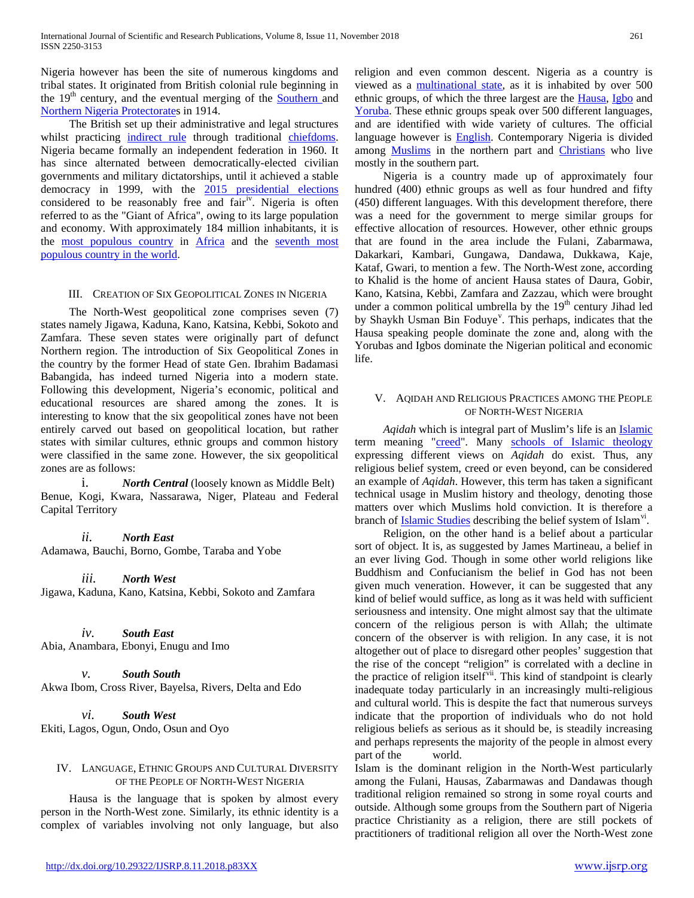Nigeria however has been the site of numerous kingdoms and tribal states. It originated from British colonial rule beginning in the  $19<sup>th</sup>$  century, and the eventual merging of the [Southern a](https://en.m.wikipedia.org/wiki/Southern_Nigeria_Protectorate)nd [Northern Nigeria Protectorates](https://en.m.wikipedia.org/wiki/Northern_Nigeria_Protectorate) in 1914.

 The British set up their administrative and legal structures whilst practicing [indirect rule](https://en.m.wikipedia.org/wiki/Indirect_rule) through traditional chiefdoms. Nigeria became formally an independent federation in 1960. It has since alternated between democratically-elected civilian governments and military dictatorships, until it achieved a stable democracy in 1999, with the [2015 presidential elections](https://en.m.wikipedia.org/wiki/Nigerian_presidential_election,_2011) considered to be reasonably free and fair<sup>[iv](#page-14-3)</sup>. Nigeria is often referred to as the "Giant of Africa", owing to its large population and economy. With approximately 184 million inhabitants, it is the [most populous country](https://en.m.wikipedia.org/wiki/List_of_African_countries_by_population) in [Africa](https://en.m.wikipedia.org/wiki/Africa) and the [seventh most](https://en.m.wikipedia.org/wiki/List_of_countries_by_population)  [populous country in the world.](https://en.m.wikipedia.org/wiki/List_of_countries_by_population)

## III. CREATION OF SIX GEOPOLITICAL ZONES IN NIGERIA

 The North-West geopolitical zone comprises seven (7) states namely Jigawa, Kaduna, Kano, Katsina, Kebbi, Sokoto and Zamfara. These seven states were originally part of defunct Northern region. The introduction of Six Geopolitical Zones in the country by the former Head of state Gen. Ibrahim Badamasi Babangida, has indeed turned Nigeria into a modern state. Following this development, Nigeria's economic, political and educational resources are shared among the zones. It is interesting to know that the six geopolitical zones have not been entirely carved out based on geopolitical location, but rather states with similar cultures, ethnic groups and common history were classified in the same zone. However, the six geopolitical zones are as follows:

i. *North Central* (loosely known as Middle Belt) Benue, Kogi, Kwara, Nassarawa, Niger, Plateau and Federal Capital Territory

*ii. North East* Adamawa, Bauchi, Borno, Gombe, Taraba and Yobe

*iii. North West* Jigawa, Kaduna, Kano, Katsina, Kebbi, Sokoto and Zamfara

*iv. South East* Abia, Anambara, Ebonyi, Enugu and Imo

*v. South South* Akwa Ibom, Cross River, Bayelsa, Rivers, Delta and Edo

*vi. South West* Ekiti, Lagos, Ogun, Ondo, Osun and Oyo

## IV. LANGUAGE, ETHNIC GROUPS AND CULTURAL DIVERSITY OF THE PEOPLE OF NORTH-WEST NIGERIA

 Hausa is the language that is spoken by almost every person in the North-West zone. Similarly, its ethnic identity is a complex of variables involving not only language, but also religion and even common descent. Nigeria as a country is viewed as a [multinational state,](https://en.m.wikipedia.org/wiki/Multinational_state) as it is inhabited by over 500 ethnic groups, of which the three largest are the [Hausa,](https://en.m.wikipedia.org/wiki/Hausa_people) [Igbo](https://en.m.wikipedia.org/wiki/Igbo_people) and [Yoruba.](https://en.m.wikipedia.org/wiki/Yoruba_people) These ethnic groups speak over 500 different languages, and are identified with wide variety of cultures. The official language however is [English.](https://en.m.wikipedia.org/wiki/English_language) Contemporary Nigeria is divided among [Muslims](https://en.m.wikipedia.org/wiki/Islam) in the northern part and [Christians](https://en.m.wikipedia.org/wiki/Christianity) who live mostly in the southern part.

 Nigeria is a country made up of approximately four hundred (400) ethnic groups as well as four hundred and fifty (450) different languages. With this development therefore, there was a need for the government to merge similar groups for effective allocation of resources. However, other ethnic groups that are found in the area include the Fulani, Zabarmawa, Dakarkari, Kambari, Gungawa, Dandawa, Dukkawa, Kaje, Kataf, Gwari, to mention a few. The North-West zone, according to Khalid is the home of ancient Hausa states of Daura, Gobir, Kano, Katsina, Kebbi, Zamfara and Zazzau, which were brought under a common political umbrella by the  $19<sup>th</sup>$  century Jihad led by Shaykh Usman Bin Foduye<sup>[v](#page-14-4)</sup>. This perhaps, indicates that the Hausa speaking people dominate the zone and, along with the Yorubas and Igbos dominate the Nigerian political and economic life.

## V. AQIDAH AND RELIGIOUS PRACTICES AMONG THE PEOPLE OF NORTH-WEST NIGERIA

Aqidah which is integral part of Muslim's life is an **Islamic** term meaning ["creed"](https://en.wikipedia.org/wiki/Creed). Many [schools of Islamic theology](https://en.wikipedia.org/wiki/Schools_of_Islamic_theology) expressing different views on *Aqidah* do exist. Thus, any religious belief system, creed or even beyond, can be considered an example of *Aqidah*. However, this term has taken a significant technical usage in Muslim history and theology, denoting those matters over which Muslims hold conviction. It is therefore a branch o[f Islamic Studies](https://en.wikipedia.org/wiki/Islamic_studies) describing the belief system of Islam<sup>vi</sup>.

 Religion, on the other hand is a belief about a particular sort of object. It is, as suggested by James Martineau, a belief in an ever living God. Though in some other world religions like Buddhism and Confucianism the belief in God has not been given much veneration. However, it can be suggested that any kind of belief would suffice, as long as it was held with sufficient seriousness and intensity. One might almost say that the ultimate concern of the religious person is with Allah; the ultimate concern of the observer is with religion. In any case, it is not altogether out of place to disregard other peoples' suggestion that the rise of the concept "religion" is correlated with a decline in the practice of religion itself<sup>vii</sup>. This kind of standpoint is clearly inadequate today particularly in an increasingly multi-religious and cultural world. This is despite the fact that numerous surveys indicate that the proportion of individuals who do not hold religious beliefs as serious as it should be, is steadily increasing and perhaps represents the majority of the people in almost every part of the world.

Islam is the dominant religion in the North-West particularly among the Fulani, Hausas, Zabarmawas and Dandawas though traditional religion remained so strong in some royal courts and outside. Although some groups from the Southern part of Nigeria practice Christianity as a religion, there are still pockets of practitioners of traditional religion all over the North-West zone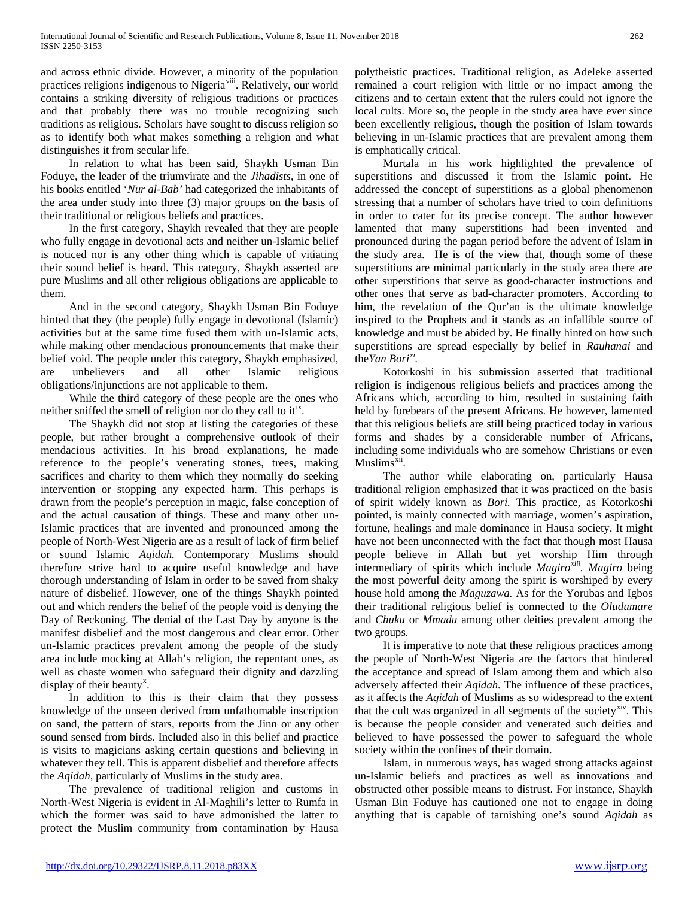and across ethnic divide. However, a minority of the population practices religions indigenous to Nigeria<sup>viii</sup>. Relatively, our world contains a striking diversity of religious traditions or practices and that probably there was no trouble recognizing such traditions as religious. Scholars have sought to discuss religion so as to identify both what makes something a religion and what distinguishes it from secular life.

 In relation to what has been said, Shaykh Usman Bin Foduye, the leader of the triumvirate and the *Jihadists*, in one of his books entitled '*Nur al-Bab'* had categorized the inhabitants of the area under study into three (3) major groups on the basis of their traditional or religious beliefs and practices.

 In the first category, Shaykh revealed that they are people who fully engage in devotional acts and neither un-Islamic belief is noticed nor is any other thing which is capable of vitiating their sound belief is heard. This category, Shaykh asserted are pure Muslims and all other religious obligations are applicable to them.

 And in the second category, Shaykh Usman Bin Foduye hinted that they (the people) fully engage in devotional (Islamic) activities but at the same time fused them with un-Islamic acts, while making other mendacious pronouncements that make their belief void. The people under this category, Shaykh emphasized, are unbelievers and all other Islamic religious obligations/injunctions are not applicable to them.

 While the third category of these people are the ones who neither sniffed the smell of religion nor do they call to it.<sup>[ix](#page-14-8)</sup>.

 The Shaykh did not stop at listing the categories of these people, but rather brought a comprehensive outlook of their mendacious activities. In his broad explanations, he made reference to the people's venerating stones, trees, making sacrifices and charity to them which they normally do seeking intervention or stopping any expected harm. This perhaps is drawn from the people's perception in magic, false conception of and the actual causation of things. These and many other un-Islamic practices that are invented and pronounced among the people of North-West Nigeria are as a result of lack of firm belief or sound Islamic *Aqidah.* Contemporary Muslims should therefore strive hard to acquire useful knowledge and have thorough understanding of Islam in order to be saved from shaky nature of disbelief. However, one of the things Shaykh pointed out and which renders the belief of the people void is denying the Day of Reckoning. The denial of the Last Day by anyone is the manifest disbelief and the most dangerous and clear error. Other un-Islamic practices prevalent among the people of the study area include mocking at Allah's religion, the repentant ones, as well as chaste women who safeguard their dignity and dazzling display of their beauty<sup>[x](#page-14-9)</sup>.

 In addition to this is their claim that they possess knowledge of the unseen derived from unfathomable inscription on sand, the pattern of stars, reports from the Jinn or any other sound sensed from birds. Included also in this belief and practice is visits to magicians asking certain questions and believing in whatever they tell. This is apparent disbelief and therefore affects the *Aqidah,* particularly of Muslims in the study area.

 The prevalence of traditional religion and customs in North-West Nigeria is evident in Al-Maghili's letter to Rumfa in which the former was said to have admonished the latter to protect the Muslim community from contamination by Hausa polytheistic practices. Traditional religion, as Adeleke asserted remained a court religion with little or no impact among the citizens and to certain extent that the rulers could not ignore the local cults. More so, the people in the study area have ever since been excellently religious, though the position of Islam towards believing in un-Islamic practices that are prevalent among them is emphatically critical.

 Murtala in his work highlighted the prevalence of superstitions and discussed it from the Islamic point. He addressed the concept of superstitions as a global phenomenon stressing that a number of scholars have tried to coin definitions in order to cater for its precise concept. The author however lamented that many superstitions had been invented and pronounced during the pagan period before the advent of Islam in the study area. He is of the view that, though some of these superstitions are minimal particularly in the study area there are other superstitions that serve as good-character instructions and other ones that serve as bad-character promoters. According to him, the revelation of the Qur'an is the ultimate knowledge inspired to the Prophets and it stands as an infallible source of knowledge and must be abided by. He finally hinted on how such superstitions are spread especially by belief in *Rauhanai* and the*Yan Bori[xi](#page-14-10).* 

 Kotorkoshi in his submission asserted that traditional religion is indigenous religious beliefs and practices among the Africans which, according to him, resulted in sustaining faith held by forebears of the present Africans. He however, lamented that this religious beliefs are still being practiced today in various forms and shades by a considerable number of Africans, including some individuals who are somehow Christians or even Muslims<sup>xii</sup>.

 The author while elaborating on, particularly Hausa traditional religion emphasized that it was practiced on the basis of spirit widely known as *Bori.* This practice, as Kotorkoshi pointed, is mainly connected with marriage, women's aspiration, fortune, healings and male dominance in Hausa society. It might have not been unconnected with the fact that though most Hausa people believe in Allah but yet worship Him through intermediary of spirits which include *Magiro[xiii](#page-14-12). Magiro* being the most powerful deity among the spirit is worshiped by every house hold among the *Maguzawa.* As for the Yorubas and Igbos their traditional religious belief is connected to the *Oludumare*  and *Chuku* or *Mmadu* among other deities prevalent among the two groups*.* 

 It is imperative to note that these religious practices among the people of North-West Nigeria are the factors that hindered the acceptance and spread of Islam among them and which also adversely affected their *Aqidah.* The influence of these practices, as it affects the *Aqidah* of Muslims as so widespread to the extent that the cult was organized in all segments of the society<sup>xiv</sup>. This is because the people consider and venerated such deities and believed to have possessed the power to safeguard the whole society within the confines of their domain.

 Islam, in numerous ways, has waged strong attacks against un-Islamic beliefs and practices as well as innovations and obstructed other possible means to distrust. For instance, Shaykh Usman Bin Foduye has cautioned one not to engage in doing anything that is capable of tarnishing one's sound *Aqidah* as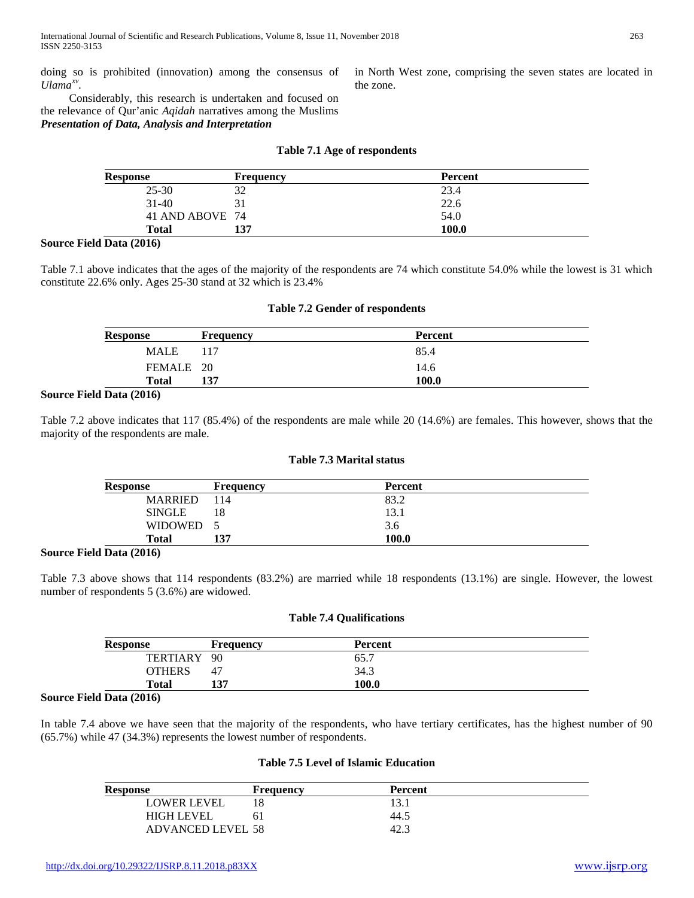doing so is prohibited (innovation) among the consensus of *Ulama[xv](#page-14-14).*

 Considerably, this research is undertaken and focused on the relevance of Qur'anic *Aqidah* narratives among the Muslims *Presentation of Data, Analysis and Interpretation* 

in North West zone, comprising the seven states are located in the zone.

#### **Table 7.1 Age of respondents**

| <b>Response</b> | <b>Frequency</b> | <b>Percent</b> |
|-----------------|------------------|----------------|
| $25 - 30$       | 32               | 23.4           |
| $31 - 40$       |                  | 22.6           |
| 41 AND ABOVE 74 |                  | 54.0           |
| Total           | 137              | 100.0          |

#### **Source Field Data (2016)**

Table 7.1 above indicates that the ages of the majority of the respondents are 74 which constitute 54.0% while the lowest is 31 which constitute 22.6% only. Ages 25-30 stand at 32 which is 23.4%

#### **Table 7.2 Gender of respondents**

| <b>Response</b> | <b>Frequency</b> | <b>Percent</b> |
|-----------------|------------------|----------------|
| <b>MALE</b>     | 117              | 85.4           |
| FEMALE 20       |                  | 14.6           |
| Total           | 137              | 100.0          |

#### **Source Field Data (2016)**

Table 7.2 above indicates that 117 (85.4%) of the respondents are male while 20 (14.6%) are females. This however, shows that the majority of the respondents are male.

#### **Table 7.3 Marital status**

| <b>Response</b> | <b>Frequency</b> | Percent |  |
|-----------------|------------------|---------|--|
| <b>MARRIED</b>  | 114              | 83.2    |  |
| <b>SINGLE</b>   | 18               | 13.1    |  |
| WIDOWED         |                  | 3.6     |  |
| Total           | 137              | 100.0   |  |

#### **Source Field Data (2016)**

Table 7.3 above shows that 114 respondents (83.2%) are married while 18 respondents (13.1%) are single. However, the lowest number of respondents 5 (3.6%) are widowed.

#### **Table 7.4 Qualifications**

| <b>Response</b> | Frequency | Percent |  |
|-----------------|-----------|---------|--|
| <b>TERTIARY</b> | 90        | 65.7    |  |
| <b>OTHERS</b>   | 47        | 34.3    |  |
| Total           | 127       | 100.0   |  |

#### **Source Field Data (2016)**

In table 7.4 above we have seen that the majority of the respondents, who have tertiary certificates, has the highest number of 90 (65.7%) while 47 (34.3%) represents the lowest number of respondents.

#### **Table 7.5 Level of Islamic Education**

| <b>Response</b>          | Frequency | <b>Percent</b> |  |
|--------------------------|-----------|----------------|--|
| <b>LOWER LEVEL</b>       |           |                |  |
| <b>HIGH LEVEL</b>        |           | 44.5           |  |
| <b>ADVANCED LEVEL 58</b> |           | 42.3           |  |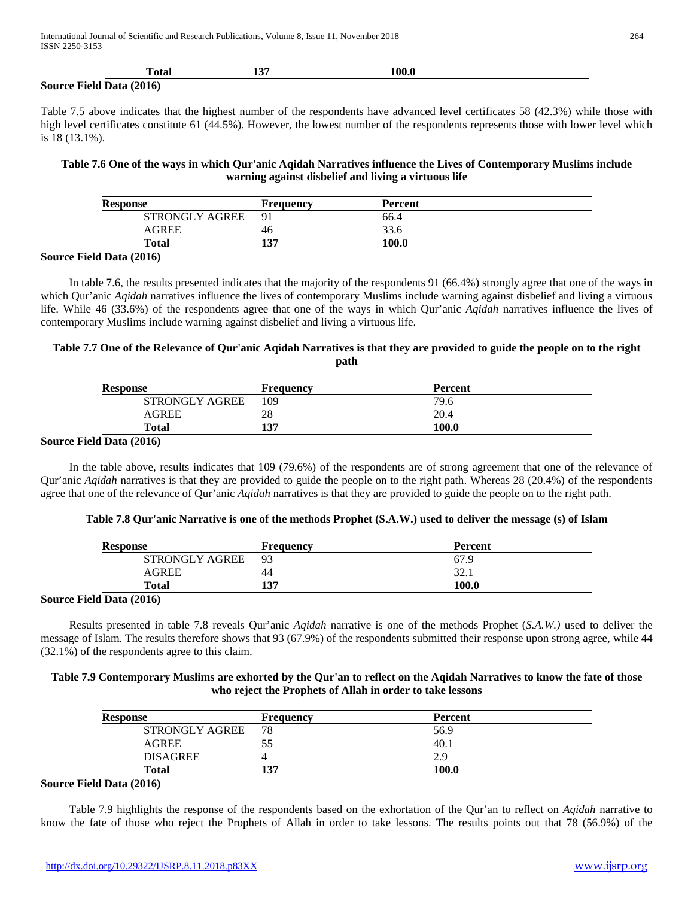|                                 | 'otal | 1. O.H<br>___ |  |
|---------------------------------|-------|---------------|--|
| <b>Source Field Data (2016)</b> |       |               |  |

Table 7.5 above indicates that the highest number of the respondents have advanced level certificates 58 (42.3%) while those with high level certificates constitute 61 (44.5%). However, the lowest number of the respondents represents those with lower level which is 18 (13.1%).

## **Table 7.6 One of the ways in which Qur'anic Aqidah Narratives influence the Lives of Contemporary Muslims include warning against disbelief and living a virtuous life**

| <b>Response</b>       | Frequency      | Percent |  |
|-----------------------|----------------|---------|--|
| <b>STRONGLY AGREE</b> | Q <sub>1</sub> | 66.4    |  |
| AGREE                 | 46             | 33.6    |  |
| Total                 | 137            | 100.0   |  |
|                       |                |         |  |

#### **Source Field Data (2016)**

 In table 7.6, the results presented indicates that the majority of the respondents 91 (66.4%) strongly agree that one of the ways in which Qur'anic *Aqidah* narratives influence the lives of contemporary Muslims include warning against disbelief and living a virtuous life. While 46 (33.6%) of the respondents agree that one of the ways in which Qur'anic *Aqidah* narratives influence the lives of contemporary Muslims include warning against disbelief and living a virtuous life.

#### **Table 7.7 One of the Relevance of Qur'anic Aqidah Narratives is that they are provided to guide the people on to the right path**

| <b>Response</b>  | <b>Frequency</b> | <b>Percent</b> |  |
|------------------|------------------|----------------|--|
| STRONGLY AGREE   | 109              | 79.6           |  |
| AGREE            |                  | 20.4           |  |
| Total            | 137              | 100.0          |  |
| $1.73 \pm 0.010$ |                  |                |  |

## **Source Field Data (2016)**

 In the table above, results indicates that 109 (79.6%) of the respondents are of strong agreement that one of the relevance of Qur'anic *Aqidah* narratives is that they are provided to guide the people on to the right path. Whereas 28 (20.4%) of the respondents agree that one of the relevance of Qur'anic *Aqidah* narratives is that they are provided to guide the people on to the right path.

| Table 7.8 Qur'anic Narrative is one of the methods Prophet (S.A.W.) used to deliver the message (s) of Islam |  |  |
|--------------------------------------------------------------------------------------------------------------|--|--|
|--------------------------------------------------------------------------------------------------------------|--|--|

| <b>Response</b>       | <b>Frequency</b> | <b>Percent</b> |  |
|-----------------------|------------------|----------------|--|
| <b>STRONGLY AGREE</b> | 93               | 67.9           |  |
| <b>AGREE</b>          | 44               | ه ۱۷۰۰         |  |
| Total                 | 137              | 100.0          |  |

## **Source Field Data (2016)**

 Results presented in table 7.8 reveals Qur'anic *Aqidah* narrative is one of the methods Prophet (*S.A.W.)* used to deliver the message of Islam. The results therefore shows that 93 (67.9%) of the respondents submitted their response upon strong agree, while 44 (32.1%) of the respondents agree to this claim.

## **Table 7.9 Contemporary Muslims are exhorted by the Qur'an to reflect on the Aqidah Narratives to know the fate of those who reject the Prophets of Allah in order to take lessons**

| <b>Response</b>                       | Frequency | Percent |  |
|---------------------------------------|-----------|---------|--|
| <b>STRONGLY AGREE</b>                 | 78        | 56.9    |  |
| <b>AGREE</b>                          |           | 40.1    |  |
| <b>DISAGREE</b>                       |           | 2.9     |  |
| <b>Total</b>                          | 137       | 100.0   |  |
| $2.11 \text{ D}_{\text{obs}}$ (2016). |           |         |  |

#### **Source Field Data (2016)**

 Table 7.9 highlights the response of the respondents based on the exhortation of the Qur'an to reflect on *Aqidah* narrative to know the fate of those who reject the Prophets of Allah in order to take lessons. The results points out that 78 (56.9%) of the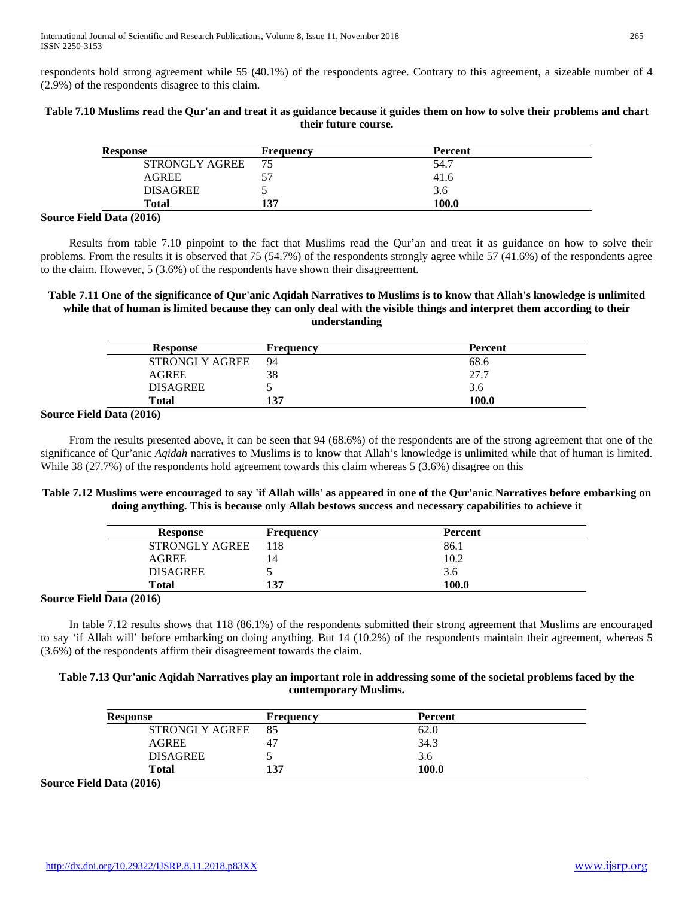respondents hold strong agreement while 55 (40.1%) of the respondents agree. Contrary to this agreement, a sizeable number of 4 (2.9%) of the respondents disagree to this claim.

| uich future course.   |                  |         |  |
|-----------------------|------------------|---------|--|
| <b>Response</b>       | <b>Frequency</b> | Percent |  |
| <b>STRONGLY AGREE</b> | 75               | 54.7    |  |
| AGREE                 |                  | 41.6    |  |

DISAGREE 5 3.6 **Total 137 100.0**

## **Table 7.10 Muslims read the Qur'an and treat it as guidance because it guides them on how to solve their problems and chart their future course.**

## **Source Field Data (2016)**

 Results from table 7.10 pinpoint to the fact that Muslims read the Qur'an and treat it as guidance on how to solve their problems. From the results it is observed that 75 (54.7%) of the respondents strongly agree while 57 (41.6%) of the respondents agree to the claim. However, 5 (3.6%) of the respondents have shown their disagreement.

#### **Table 7.11 One of the significance of Qur'anic Aqidah Narratives to Muslims is to know that Allah's knowledge is unlimited while that of human is limited because they can only deal with the visible things and interpret them according to their understanding**

| <b>Response</b> | <b>Frequency</b> | <b>Percent</b> |
|-----------------|------------------|----------------|
| STRONGLY AGREE  | 94               | 68.6           |
| <b>AGREE</b>    | 38               | 27.7           |
| <b>DISAGREE</b> |                  | 3.6            |
| Total           | .37              | 100.0          |

#### **Source Field Data (2016)**

 From the results presented above, it can be seen that 94 (68.6%) of the respondents are of the strong agreement that one of the significance of Qur'anic *Aqidah* narratives to Muslims is to know that Allah's knowledge is unlimited while that of human is limited. While 38 (27.7%) of the respondents hold agreement towards this claim whereas 5 (3.6%) disagree on this

## **Table 7.12 Muslims were encouraged to say 'if Allah wills' as appeared in one of the Qur'anic Narratives before embarking on doing anything. This is because only Allah bestows success and necessary capabilities to achieve it**

| <b>Response</b>       | <b>Frequency</b> | <b>Percent</b> |  |
|-----------------------|------------------|----------------|--|
| <b>STRONGLY AGREE</b> | 118              | 86.1           |  |
| <b>AGREE</b>          | 14               | 10.2           |  |
| <b>DISAGREE</b>       |                  | 3.6            |  |
| <b>Total</b>          | 137              | 100.0          |  |

#### **Source Field Data (2016)**

 In table 7.12 results shows that 118 (86.1%) of the respondents submitted their strong agreement that Muslims are encouraged to say 'if Allah will' before embarking on doing anything. But 14 (10.2%) of the respondents maintain their agreement, whereas 5 (3.6%) of the respondents affirm their disagreement towards the claim.

## **Table 7.13 Qur'anic Aqidah Narratives play an important role in addressing some of the societal problems faced by the contemporary Muslims.**

| <b>Response</b>       | Frequency | <b>Percent</b> |  |
|-----------------------|-----------|----------------|--|
| <b>STRONGLY AGREE</b> | 85        | 62.0           |  |
| <b>AGREE</b>          |           | 34.3           |  |
| <b>DISAGREE</b>       |           | 3.6            |  |
| Total                 | 37        | 100.0          |  |

#### **Source Field Data (2016)**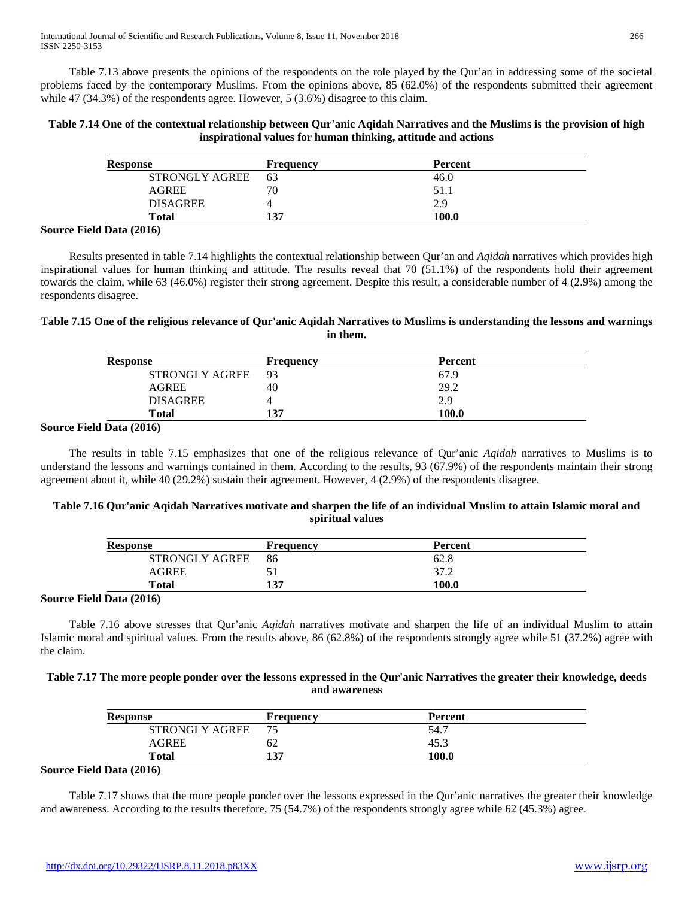Table 7.13 above presents the opinions of the respondents on the role played by the Qur'an in addressing some of the societal problems faced by the contemporary Muslims. From the opinions above, 85 (62.0%) of the respondents submitted their agreement while 47 (34.3%) of the respondents agree. However, 5 (3.6%) disagree to this claim.

## **Table 7.14 One of the contextual relationship between Qur'anic Aqidah Narratives and the Muslims is the provision of high inspirational values for human thinking, attitude and actions**

| 63  | 46.0  |  |
|-----|-------|--|
| 70  | 51.1  |  |
|     | 2.9   |  |
| 137 | 100.0 |  |
|     |       |  |

#### **Source Field Data (2016)**

 Results presented in table 7.14 highlights the contextual relationship between Qur'an and *Aqidah* narratives which provides high inspirational values for human thinking and attitude. The results reveal that 70 (51.1%) of the respondents hold their agreement towards the claim, while 63 (46.0%) register their strong agreement. Despite this result, a considerable number of 4 (2.9%) among the respondents disagree.

## **Table 7.15 One of the religious relevance of Qur'anic Aqidah Narratives to Muslims is understanding the lessons and warnings in them.**

| <b>Response</b> | Frequency | Percent |  |
|-----------------|-----------|---------|--|
| STRONGLY AGREE  | 93        | 67.9    |  |
| <b>AGREE</b>    | 40        | 29.2    |  |
| <b>DISAGREE</b> |           | 2.9     |  |
| Total           | 137       | 100.0   |  |

#### **Source Field Data (2016)**

 The results in table 7.15 emphasizes that one of the religious relevance of Qur'anic *Aqidah* narratives to Muslims is to understand the lessons and warnings contained in them. According to the results, 93 (67.9%) of the respondents maintain their strong agreement about it, while 40 (29.2%) sustain their agreement. However, 4 (2.9%) of the respondents disagree.

## **Table 7.16 Qur'anic Aqidah Narratives motivate and sharpen the life of an individual Muslim to attain Islamic moral and spiritual values**

| <b>Response</b>       | <b>Frequency</b> | Percent |  |
|-----------------------|------------------|---------|--|
| <b>STRONGLY AGREE</b> | 86               | 62.8    |  |
| AGREE                 |                  | 37.2    |  |
| Total                 | 137              | 100.0   |  |

#### **Source Field Data (2016)**

 Table 7.16 above stresses that Qur'anic *Aqidah* narratives motivate and sharpen the life of an individual Muslim to attain Islamic moral and spiritual values. From the results above, 86 (62.8%) of the respondents strongly agree while 51 (37.2%) agree with the claim.

#### **Table 7.17 The more people ponder over the lessons expressed in the Qur'anic Narratives the greater their knowledge, deeds and awareness**

| <b>Response</b>       | Frequency | Percent |  |
|-----------------------|-----------|---------|--|
| <b>STRONGLY AGREE</b> | 75        | 54.′    |  |
| <b>AGREE</b>          | 62        | 45.3    |  |
| Total                 | 1 27      | 100.0   |  |

#### **Source Field Data (2016)**

 Table 7.17 shows that the more people ponder over the lessons expressed in the Qur'anic narratives the greater their knowledge and awareness. According to the results therefore, 75 (54.7%) of the respondents strongly agree while 62 (45.3%) agree.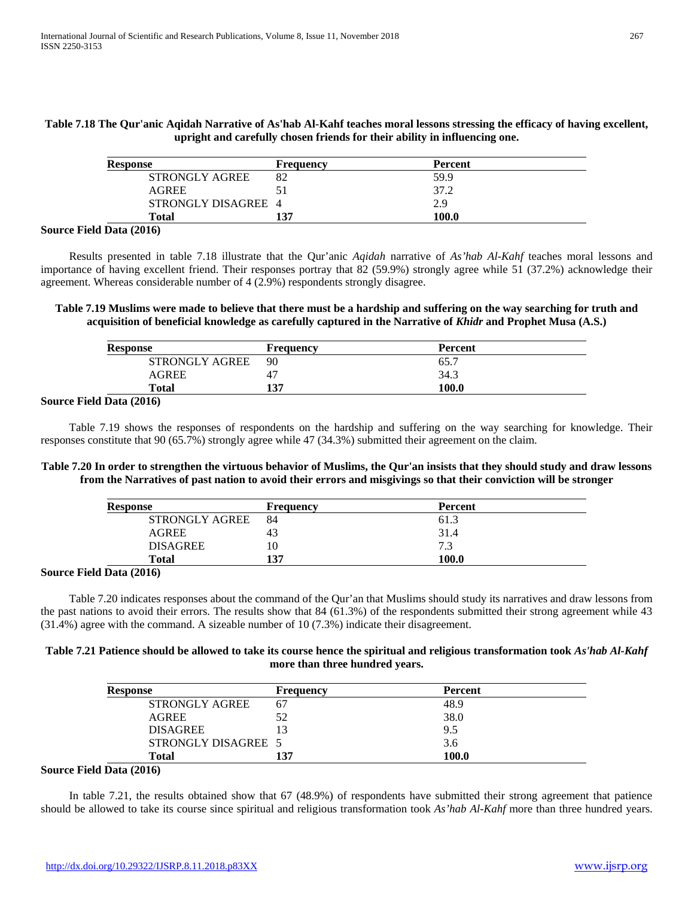## **Table 7.18 The Qur'anic Aqidah Narrative of As'hab Al-Kahf teaches moral lessons stressing the efficacy of having excellent, upright and carefully chosen friends for their ability in influencing one.**

| <b>Response</b>     | Frequency | Percent |  |
|---------------------|-----------|---------|--|
| STRONGLY AGREE      |           | 59.9    |  |
| <b>AGREE</b>        |           | 37.2    |  |
| STRONGLY DISAGREE 4 |           | 2.9     |  |
| Total               | 137       | 100.0   |  |

#### **Source Field Data (2016)**

 Results presented in table 7.18 illustrate that the Qur'anic *Aqidah* narrative of *As'hab Al-Kahf* teaches moral lessons and importance of having excellent friend. Their responses portray that 82 (59.9%) strongly agree while 51 (37.2%) acknowledge their agreement. Whereas considerable number of 4 (2.9%) respondents strongly disagree.

## **Table 7.19 Muslims were made to believe that there must be a hardship and suffering on the way searching for truth and acquisition of beneficial knowledge as carefully captured in the Narrative of** *Khidr* **and Prophet Musa (A.S.)**

| <b>Response</b>       | <b>Frequency</b> | Percent |  |
|-----------------------|------------------|---------|--|
| <b>STRONGLY AGREE</b> | 90               | 65.7    |  |
| <b>AGREE</b>          | 47               | 34.3    |  |
| Total                 | 137              | 100.0   |  |
| — <i>протент</i>      |                  |         |  |

#### **Source Field Data (2016)**

 Table 7.19 shows the responses of respondents on the hardship and suffering on the way searching for knowledge. Their responses constitute that 90 (65.7%) strongly agree while 47 (34.3%) submitted their agreement on the claim.

## **Table 7.20 In order to strengthen the virtuous behavior of Muslims, the Qur'an insists that they should study and draw lessons from the Narratives of past nation to avoid their errors and misgivings so that their conviction will be stronger**

| <b>Response</b>       | Frequency   | Percent |  |
|-----------------------|-------------|---------|--|
| <b>STRONGLY AGREE</b> | 84          | 61.3    |  |
| <b>AGREE</b>          | $4_{\cdot}$ | 31.4    |  |
| <b>DISAGREE</b>       |             | 7.3     |  |
| Total                 | 137         | 100.0   |  |

#### **Source Field Data (2016)**

 Table 7.20 indicates responses about the command of the Qur'an that Muslims should study its narratives and draw lessons from the past nations to avoid their errors. The results show that 84 (61.3%) of the respondents submitted their strong agreement while 43 (31.4%) agree with the command. A sizeable number of 10 (7.3%) indicate their disagreement.

## **Table 7.21 Patience should be allowed to take its course hence the spiritual and religious transformation took** *As'hab Al-Kahf* **more than three hundred years.**

| <b>Response</b>       | Frequency | <b>Percent</b> |  |
|-----------------------|-----------|----------------|--|
| <b>STRONGLY AGREE</b> | 67        | 48.9           |  |
| AGREE                 |           | 38.0           |  |
| <b>DISAGREE</b>       |           | 9.5            |  |
| STRONGLY DISAGREE 5   |           | 3.6            |  |
| <b>Total</b>          | 137       | 100.0          |  |

#### **Source Field Data (2016)**

 In table 7.21, the results obtained show that 67 (48.9%) of respondents have submitted their strong agreement that patience should be allowed to take its course since spiritual and religious transformation took *As'hab Al-Kahf* more than three hundred years.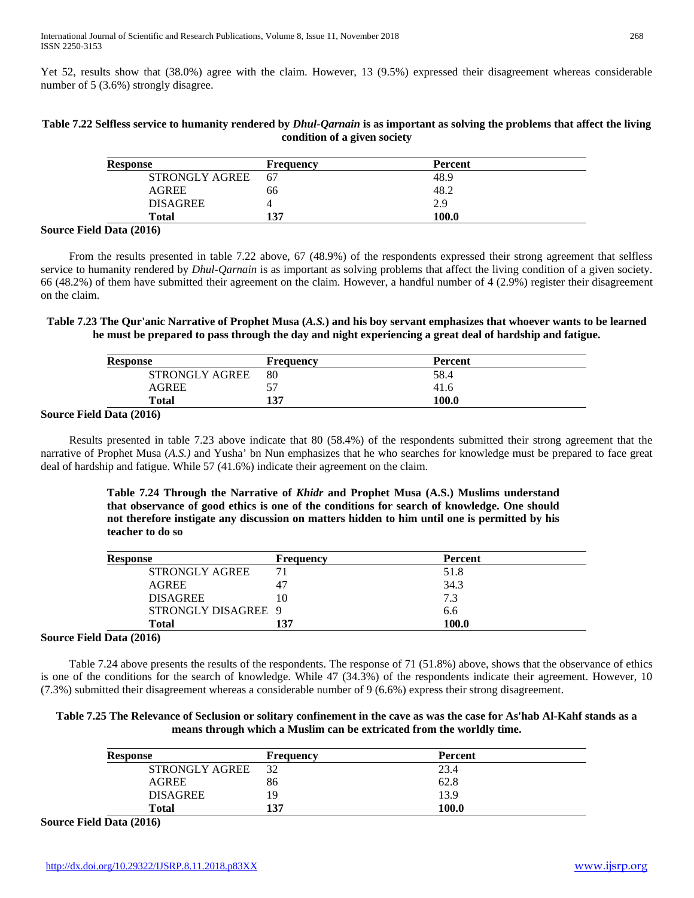Yet 52, results show that (38.0%) agree with the claim. However, 13 (9.5%) expressed their disagreement whereas considerable number of 5 (3.6%) strongly disagree.

## **Table 7.22 Selfless service to humanity rendered by** *Dhul-Qarnain* **is as important as solving the problems that affect the living condition of a given society**

| <b>Response</b> | Frequency | Percent |  |
|-----------------|-----------|---------|--|
| STRONGLY AGREE  | 67        | 48.9    |  |
| <b>AGREE</b>    | 66        | 48.2    |  |
| <b>DISAGREE</b> |           | 2.9     |  |
| Total           | 137       | 100.0   |  |

#### **Source Field Data (2016)**

 From the results presented in table 7.22 above, 67 (48.9%) of the respondents expressed their strong agreement that selfless service to humanity rendered by *Dhul-Qarnain* is as important as solving problems that affect the living condition of a given society. 66 (48.2%) of them have submitted their agreement on the claim. However, a handful number of 4 (2.9%) register their disagreement on the claim.

**Table 7.23 The Qur'anic Narrative of Prophet Musa (***A.S.***) and his boy servant emphasizes that whoever wants to be learned he must be prepared to pass through the day and night experiencing a great deal of hardship and fatigue.**

| <b>Response</b>       | Frequency | <b>Percent</b> |  |
|-----------------------|-----------|----------------|--|
| <b>STRONGLY AGREE</b> | 80        | 58.4           |  |
| AGREE                 | 57        | 41.6           |  |
| Total                 | 137       | 100.0          |  |

#### **Source Field Data (2016)**

 Results presented in table 7.23 above indicate that 80 (58.4%) of the respondents submitted their strong agreement that the narrative of Prophet Musa (*A.S.)* and Yusha' bn Nun emphasizes that he who searches for knowledge must be prepared to face great deal of hardship and fatigue. While 57 (41.6%) indicate their agreement on the claim.

> **Table 7.24 Through the Narrative of** *Khidr* **and Prophet Musa (A.S.) Muslims understand that observance of good ethics is one of the conditions for search of knowledge. One should not therefore instigate any discussion on matters hidden to him until one is permitted by his teacher to do so**

| <b>Response</b>       | <b>Frequency</b> | <b>Percent</b> |
|-----------------------|------------------|----------------|
| <b>STRONGLY AGREE</b> |                  | 51.8           |
| <b>AGREE</b>          |                  | 34.3           |
| <b>DISAGREE</b>       | 10               | 7.3            |
| STRONGLY DISAGREE 9   |                  | 6.6            |
| <b>Total</b>          | 137              | 100.0          |

#### **Source Field Data (2016)**

 Table 7.24 above presents the results of the respondents. The response of 71 (51.8%) above, shows that the observance of ethics is one of the conditions for the search of knowledge. While 47 (34.3%) of the respondents indicate their agreement. However, 10 (7.3%) submitted their disagreement whereas a considerable number of 9 (6.6%) express their strong disagreement.

### **Table 7.25 The Relevance of Seclusion or solitary confinement in the cave as was the case for As'hab Al-Kahf stands as a means through which a Muslim can be extricated from the worldly time.**

| <b>Response</b>       | <b>Frequency</b> | <b>Percent</b> |  |
|-----------------------|------------------|----------------|--|
| <b>STRONGLY AGREE</b> | 32               | 23.4           |  |
| <b>AGREE</b>          | 86               | 62.8           |  |
| <b>DISAGREE</b>       | 19               | 13.9           |  |
| Total                 | 137              | 100.0          |  |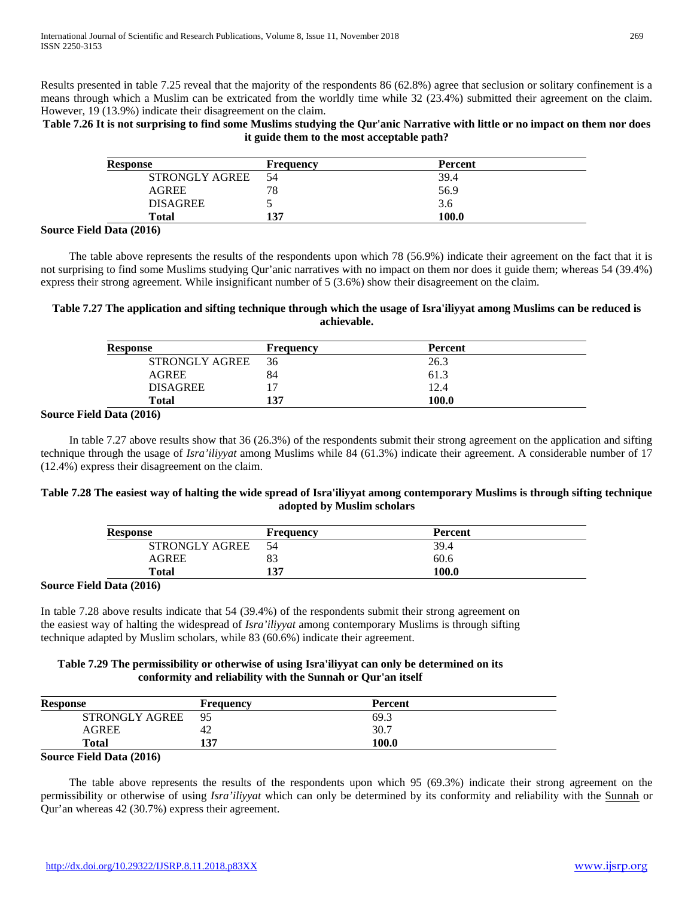Results presented in table 7.25 reveal that the majority of the respondents 86 (62.8%) agree that seclusion or solitary confinement is a means through which a Muslim can be extricated from the worldly time while 32 (23.4%) submitted their agreement on the claim. However, 19 (13.9%) indicate their disagreement on the claim.

## **Table 7.26 It is not surprising to find some Muslims studying the Qur'anic Narrative with little or no impact on them nor does it guide them to the most acceptable path?**

| <b>Response</b>                        | <b>Frequency</b> | <b>Percent</b> |  |
|----------------------------------------|------------------|----------------|--|
| STRONGLY AGREE                         | .54              | 39.4           |  |
| <b>AGREE</b>                           | 78               | 56.9           |  |
| <b>DISAGREE</b>                        |                  | 3.6            |  |
| Total                                  | 137              | 100.0          |  |
| $\mathbf{r}$ $\mathbf{r}$ $\mathbf{r}$ |                  |                |  |

#### **Source Field Data (2016)**

 The table above represents the results of the respondents upon which 78 (56.9%) indicate their agreement on the fact that it is not surprising to find some Muslims studying Qur'anic narratives with no impact on them nor does it guide them; whereas 54 (39.4%) express their strong agreement. While insignificant number of 5 (3.6%) show their disagreement on the claim.

## **Table 7.27 The application and sifting technique through which the usage of Isra'iliyyat among Muslims can be reduced is achievable.**

| <b>Response</b> | Frequency | Percent |  |
|-----------------|-----------|---------|--|
| STRONGLY AGREE  | 36        | 26.3    |  |
| AGREE           | 84        | 61.3    |  |
| <b>DISAGREE</b> |           | 12.4    |  |
| Total           | 137       | 100.0   |  |

#### **Source Field Data (2016)**

 In table 7.27 above results show that 36 (26.3%) of the respondents submit their strong agreement on the application and sifting technique through the usage of *Isra'iliyyat* among Muslims while 84 (61.3%) indicate their agreement. A considerable number of 17 (12.4%) express their disagreement on the claim.

## **Table 7.28 The easiest way of halting the wide spread of Isra'iliyyat among contemporary Muslims is through sifting technique adopted by Muslim scholars**

| <b>Response</b>       | <b>Frequency</b> | <b>Percent</b> |  |
|-----------------------|------------------|----------------|--|
| <b>STRONGLY AGREE</b> | 54               | 39.4           |  |
| AGREE                 | 83               | 60.6           |  |
| Total                 | 137              | 100.0          |  |

#### **Source Field Data (2016)**

In table 7.28 above results indicate that 54 (39.4%) of the respondents submit their strong agreement on the easiest way of halting the widespread of *Isra'iliyyat* among contemporary Muslims is through sifting technique adapted by Muslim scholars, while 83 (60.6%) indicate their agreement.

## **Table 7.29 The permissibility or otherwise of using Isra'iliyyat can only be determined on its conformity and reliability with the Sunnah or Qur'an itself**

| <b>Response</b>                               | Frequency | <b>Percent</b> |  |
|-----------------------------------------------|-----------|----------------|--|
| <b>STRONGLY AGREE</b>                         | 95        | 69.3           |  |
| <b>AGREE</b>                                  | 42        | 30.7           |  |
| Total                                         | 137       | 100.0          |  |
| $\mathcal{L}_{\text{oumon}}$ Eald Data (2016) |           |                |  |

#### **Source Field Data (2016)**

 The table above represents the results of the respondents upon which 95 (69.3%) indicate their strong agreement on the permissibility or otherwise of using *Isra'iliyyat* which can only be determined by its conformity and reliability with the Sunnah or Qur'an whereas 42 (30.7%) express their agreement.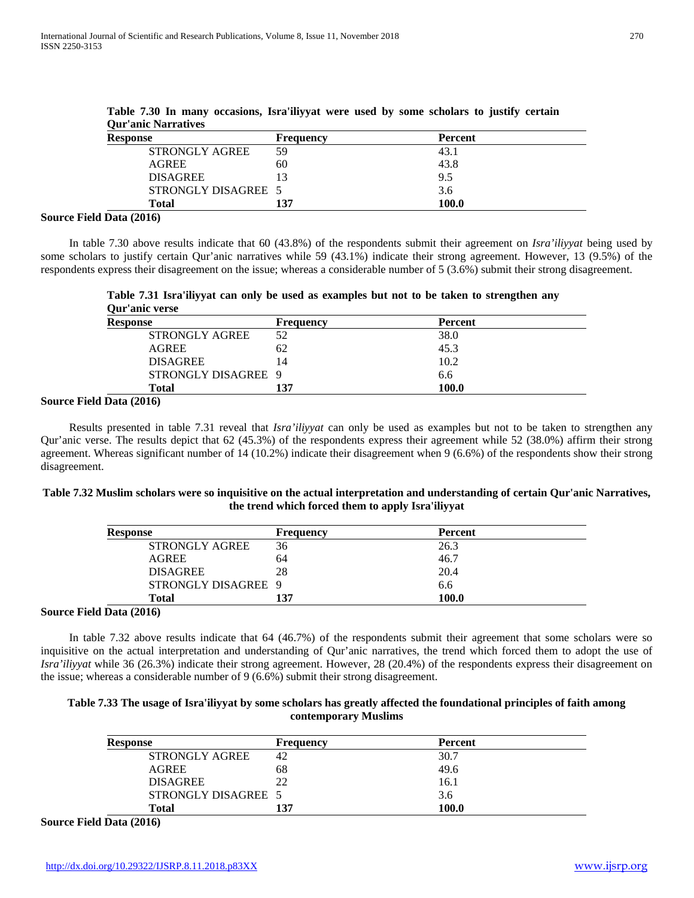| <b>Our anic Narratives</b><br><b>Response</b> | <b>Frequency</b> | <b>Percent</b> |  |
|-----------------------------------------------|------------------|----------------|--|
|                                               |                  |                |  |
| <b>STRONGLY AGREE</b>                         | 59               | 43.1           |  |
| <b>AGREE</b>                                  | 60               | 43.8           |  |
| <b>DISAGREE</b>                               |                  | 9.5            |  |
| STRONGLY DISAGREE 5                           |                  | 3.6            |  |
| <b>Total</b>                                  | 137              | 100.0          |  |

**Table 7.30 In many occasions, Isra'iliyyat were used by some scholars to justify certain Qur'anic Narratives**

#### **Source Field Data (2016)**

 In table 7.30 above results indicate that 60 (43.8%) of the respondents submit their agreement on *Isra'iliyyat* being used by some scholars to justify certain Qur'anic narratives while 59 (43.1%) indicate their strong agreement. However, 13 (9.5%) of the respondents express their disagreement on the issue; whereas a considerable number of 5 (3.6%) submit their strong disagreement.

|                |  |  |  |  |  |  |  | Table 7.31 Isra'iliyyat can only be used as examples but not to be taken to strengthen any |  |
|----------------|--|--|--|--|--|--|--|--------------------------------------------------------------------------------------------|--|
| Qur'anic verse |  |  |  |  |  |  |  |                                                                                            |  |

| <b>Frequency</b>    | Percent |  |
|---------------------|---------|--|
| 52                  | 38.0    |  |
| 62                  | 45.3    |  |
| 14                  | 10.2    |  |
| STRONGLY DISAGREE 9 | 6.6     |  |
| 137                 | 100.0   |  |
|                     |         |  |

#### **Source Field Data (2016)**

 Results presented in table 7.31 reveal that *Isra'iliyyat* can only be used as examples but not to be taken to strengthen any Qur'anic verse. The results depict that 62 (45.3%) of the respondents express their agreement while 52 (38.0%) affirm their strong agreement. Whereas significant number of 14 (10.2%) indicate their disagreement when 9 (6.6%) of the respondents show their strong disagreement.

## **Table 7.32 Muslim scholars were so inquisitive on the actual interpretation and understanding of certain Qur'anic Narratives, the trend which forced them to apply Isra'iliyyat**

| <b>Response</b>       | <b>Frequency</b> | <b>Percent</b> |
|-----------------------|------------------|----------------|
| <b>STRONGLY AGREE</b> | 36               | 26.3           |
| <b>AGREE</b>          | 64               | 46.7           |
| <b>DISAGREE</b>       | 28               | 20.4           |
| STRONGLY DISAGREE 9   |                  | 6.6            |
| Total                 | 137              | 100.0          |
| $R_{-4}$ (3016)       |                  |                |

## **Source Field Data (2016)**

 In table 7.32 above results indicate that 64 (46.7%) of the respondents submit their agreement that some scholars were so inquisitive on the actual interpretation and understanding of Qur'anic narratives, the trend which forced them to adopt the use of *Isra'iliyyat* while 36 (26.3%) indicate their strong agreement. However, 28 (20.4%) of the respondents express their disagreement on the issue; whereas a considerable number of 9 (6.6%) submit their strong disagreement.

## **Table 7.33 The usage of Isra'iliyyat by some scholars has greatly affected the foundational principles of faith among contemporary Muslims**

| <b>Response</b>       | <b>Frequency</b> | Percent |  |
|-----------------------|------------------|---------|--|
| <b>STRONGLY AGREE</b> | 42               | 30.7    |  |
| <b>AGREE</b>          | 68               | 49.6    |  |
| <b>DISAGREE</b>       | 22               | 16.1    |  |
| STRONGLY DISAGREE 5   |                  | 3.6     |  |
| <b>Total</b>          | .37              | 100.0   |  |

**Source Field Data (2016)**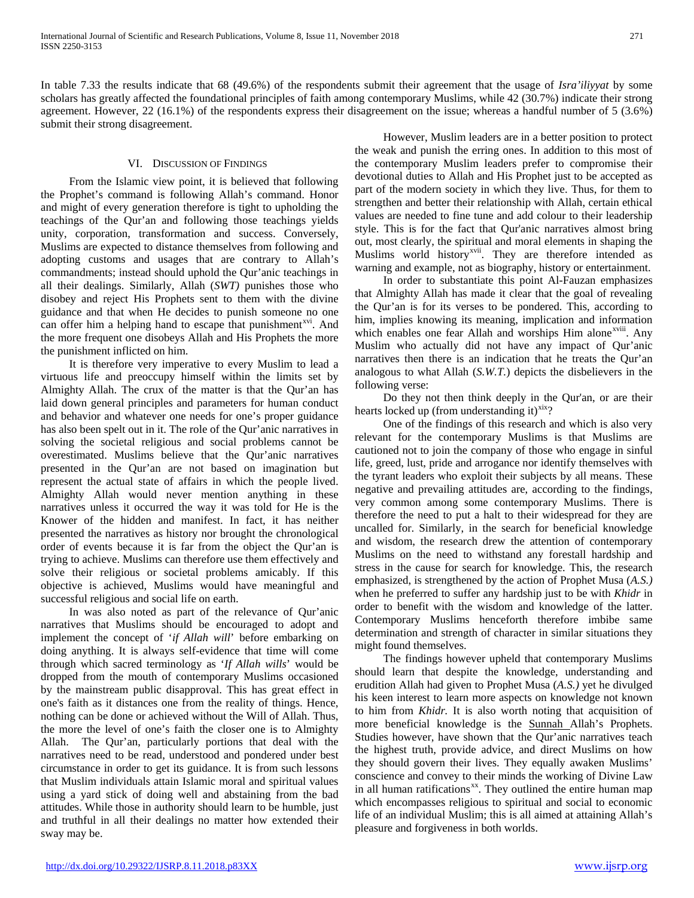In table 7.33 the results indicate that 68 (49.6%) of the respondents submit their agreement that the usage of *Isra'iliyyat* by some scholars has greatly affected the foundational principles of faith among contemporary Muslims, while 42 (30.7%) indicate their strong agreement. However, 22 (16.1%) of the respondents express their disagreement on the issue; whereas a handful number of 5 (3.6%) submit their strong disagreement.

#### VI. DISCUSSION OF FINDINGS

 From the Islamic view point, it is believed that following the Prophet's command is following Allah's command. Honor and might of every generation therefore is tight to upholding the teachings of the Qur'an and following those teachings yields unity, corporation, transformation and success. Conversely, Muslims are expected to distance themselves from following and adopting customs and usages that are contrary to Allah's commandments; instead should uphold the Qur'anic teachings in all their dealings. Similarly, Allah (*SWT)* punishes those who disobey and reject His Prophets sent to them with the divine guidance and that when He decides to punish someone no one can offer him a helping hand to escape that punishment<sup>xvi</sup>. And the more frequent one disobeys Allah and His Prophets the more the punishment inflicted on him.

 It is therefore very imperative to every Muslim to lead a virtuous life and preoccupy himself within the limits set by Almighty Allah. The crux of the matter is that the Qur'an has laid down general principles and parameters for human conduct and behavior and whatever one needs for one's proper guidance has also been spelt out in it. The role of the Qur'anic narratives in solving the societal religious and social problems cannot be overestimated. Muslims believe that the Qur'anic narratives presented in the Qur'an are not based on imagination but represent the actual state of affairs in which the people lived. Almighty Allah would never mention anything in these narratives unless it occurred the way it was told for He is the Knower of the hidden and manifest. In fact, it has neither presented the narratives as history nor brought the chronological order of events because it is far from the object the Qur'an is trying to achieve. Muslims can therefore use them effectively and solve their religious or societal problems amicably. If this objective is achieved, Muslims would have meaningful and successful religious and social life on earth.

 In was also noted as part of the relevance of Qur'anic narratives that Muslims should be encouraged to adopt and implement the concept of '*if Allah will*' before embarking on doing anything. It is always self-evidence that time will come through which sacred terminology as '*If Allah wills*' would be dropped from the mouth of contemporary Muslims occasioned by the mainstream public disapproval. This has great effect in one's faith as it distances one from the reality of things. Hence, nothing can be done or achieved without the Will of Allah. Thus, the more the level of one's faith the closer one is to Almighty Allah. The Qur'an, particularly portions that deal with the narratives need to be read, understood and pondered under best circumstance in order to get its guidance. It is from such lessons that Muslim individuals attain Islamic moral and spiritual values using a yard stick of doing well and abstaining from the bad attitudes. While those in authority should learn to be humble, just and truthful in all their dealings no matter how extended their sway may be.

 However, Muslim leaders are in a better position to protect the weak and punish the erring ones. In addition to this most of the contemporary Muslim leaders prefer to compromise their devotional duties to Allah and His Prophet just to be accepted as part of the modern society in which they live. Thus, for them to strengthen and better their relationship with Allah, certain ethical values are needed to fine tune and add colour to their leadership style. This is for the fact that Qur'anic narratives almost bring out, most clearly, the spiritual and moral elements in shaping the Muslims world history<sup>xvii</sup>. They are therefore intended as warning and example, not as biography, history or entertainment.

 In order to substantiate this point Al-Fauzan emphasizes that Almighty Allah has made it clear that the goal of revealing the Qur'an is for its verses to be pondered. This, according to him, implies knowing its meaning, implication and information which enables one fear Allah and worships Him alone<sup>xviii</sup>. Any Muslim who actually did not have any impact of Qur'anic narratives then there is an indication that he treats the Qur'an analogous to w[ha](#page-14-17)t Allah (*S.W.T.*) depicts the disbelievers in the following verse:

 Do they not then think deeply in the Qur'an, or are their hearts locked up (from understanding it) $x^{\text{xx}}$ ?

 One of the findings of this research and which is also very relevant for the contemporary Muslims is that Muslims are cautioned not to join the company of those who engage in sinful life, greed, lust, pride and arrogance nor identify themselves with the tyrant leaders who exploit their subjects by all means. These negative and prevailing attitudes are, according to the findings, very common among some contemporary Muslims. There is therefore the need to put a halt to their widespread for they are uncalled for. Similarly, in the search for beneficial knowledge and wisdom, the research drew the attention of contemporary Muslims on the need to withstand any forestall hardship and stress in the cause for search for knowledge. This, the research emphasized, is strengthened by the action of Prophet Musa (*A.S.)*  when he preferred to suffer any hardship just to be with *Khidr* in order to benefit with the wisdom and knowledge of the latter. Contemporary Muslims henceforth therefore imbibe same determination and strength of character in similar situations they might found themselves.

 The findings however upheld that contemporary Muslims should learn that despite the knowledge, understanding and erudition Allah had given to Prophet Musa (*A.S.)* yet he divulged his keen interest to learn more aspects on knowledge not known to him from *Khidr.* It is also worth noting that acquisition of more beneficial knowledge is the Sunnah Allah's Prophets. Studies however, have shown that the Qur'anic narratives teach the highest truth, provide advice, and direct Muslims on how they should govern their lives. They equally awaken Muslims' conscience and convey to their minds the working of Divine Law in all human ratifications<sup>[xx](#page-14-19)</sup>. They outlined the entire human map which encompasses religious to spiritual and social to economic life of an individual Muslim; this is all aimed at attaining Allah's pleasure and forgiveness in both worlds.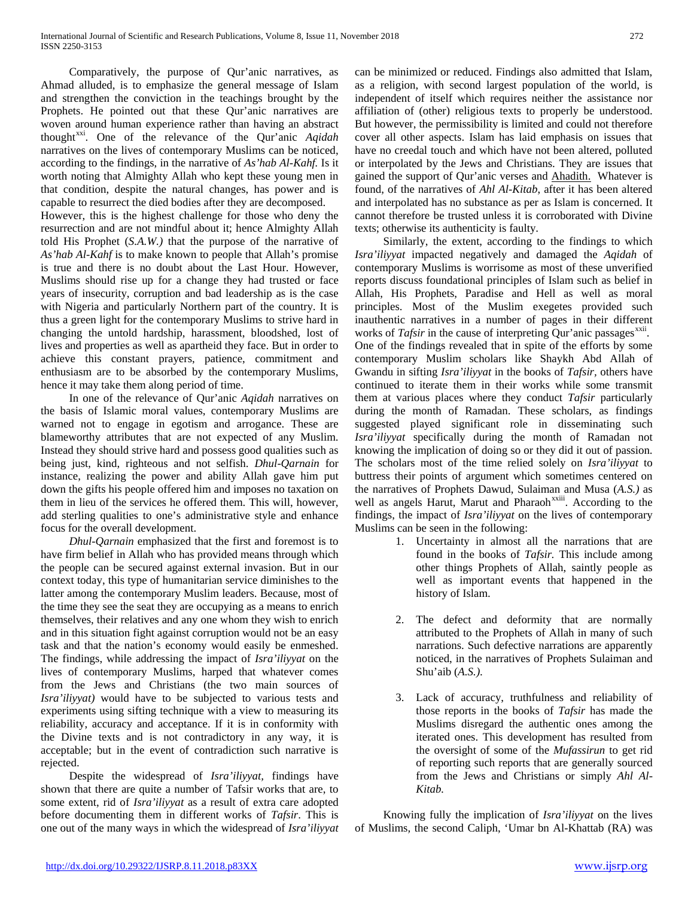Comparatively, the purpose of Qur'anic narratives, as Ahmad alluded, is to emphasize the general message of Islam and strengthen the conviction in the teachings brought by the Prophets. He pointed out that these Qur'anic narratives are woven around human experience rather than having an abstract thought<sup>[xxi](#page-14-20)</sup>. One of the relevance of the Qur'anic *Aqidah* narratives on the lives of contemporary Muslims can be noticed, according to the findings, in the narrative of *As'hab Al-Kahf.* Is it worth noting that Almighty Allah who kept these young men in that condition, despite the natural changes, has power and is capable to resurrect the died bodies after they are decomposed. However, this is the highest challenge for those who deny the resurrection and are not mindful about it; hence Almighty Allah told His Prophet (*S.A.W.)* that the purpose of the narrative of *As'hab Al-Kahf* is to make known to people that Allah's promise is true and there is no doubt about the Last Hour. However, Muslims should rise up for a change they had trusted or face years of insecurity, corruption and bad leadership as is the case with Nigeria and particularly Northern part of the country. It is thus a green light for the contemporary Muslims to strive hard in changing the untold hardship, harassment, bloodshed, lost of lives and properties as well as apartheid they face. But in order to achieve this constant prayers, patience, commitment and enthusiasm are to be absorbed by the contemporary Muslims, hence it may take them along period of time.

 In one of the relevance of Qur'anic *Aqidah* narratives on the basis of Islamic moral values, contemporary Muslims are warned not to engage in egotism and arrogance. These are blameworthy attributes that are not expected of any Muslim. Instead they should strive hard and possess good qualities such as being just, kind, righteous and not selfish. *Dhul-Qarnain* for instance, realizing the power and ability Allah gave him put down the gifts his people offered him and imposes no taxation on them in lieu of the services he offered them. This will, however, add sterling qualities to one's administrative style and enhance focus for the overall development.

 *Dhul-Qarnain* emphasized that the first and foremost is to have firm belief in Allah who has provided means through which the people can be secured against external invasion. But in our context today, this type of humanitarian service diminishes to the latter among the contemporary Muslim leaders. Because, most of the time they see the seat they are occupying as a means to enrich themselves, their relatives and any one whom they wish to enrich and in this situation fight against corruption would not be an easy task and that the nation's economy would easily be enmeshed. The findings, while addressing the impact of *Isra'iliyyat* on the lives of contemporary Muslims, harped that whatever comes from the Jews and Christians (the two main sources of *Isra'iliyyat)* would have to be subjected to various tests and experiments using sifting technique with a view to measuring its reliability, accuracy and acceptance. If it is in conformity with the Divine texts and is not contradictory in any way, it is acceptable; but in the event of contradiction such narrative is rejected.

 Despite the widespread of *Isra'iliyyat,* findings have shown that there are quite a number of Tafsir works that are, to some extent, rid of *Isra'iliyyat* as a result of extra care adopted before documenting them in different works of *Tafsir*. This is one out of the many ways in which the widespread of *Isra'iliyyat*  can be minimized or reduced. Findings also admitted that Islam, as a religion, with second largest population of the world, is independent of itself which requires neither the assistance nor affiliation of (other) religious texts to properly be understood. But however, the permissibility is limited and could not therefore cover all other aspects. Islam has laid emphasis on issues that have no creedal touch and which have not been altered, polluted or interpolated by the Jews and Christians. They are issues that gained the support of Qur'anic verses and Ahadith. Whatever is found, of the narratives of *Ahl Al-Kitab*, after it has been altered and interpolated has no substance as per as Islam is concerned. It cannot therefore be trusted unless it is corroborated with Divine texts; otherwise its authenticity is faulty.

 Similarly, the extent, according to the findings to which *Isra'iliyyat* impacted negatively and damaged the *Aqidah* of contemporary Muslims is worrisome as most of these unverified reports discuss foundational principles of Islam such as belief in Allah, His Prophets, Paradise and Hell as well as moral principles. Most of the Muslim exegetes provided such inauthentic narratives in a number of pages in their different works of *Tafsir* in the cause of interpreting Qur'anic passages<sup>xxii</sup>. One of the findings revealed that in spite of the efforts by some contemporary Muslim scholars like Shaykh Abd Allah of Gwandu in sifting *Isra'iliyyat* in the books of *Tafsir,* others have continued to iterate them in their works while some transmit them at various places where they conduct *Tafsir* particularly during the month of Ramadan. These scholars, as findings suggested played significant role in disseminating such *Isra'iliyyat* specifically during the month of Ramadan not knowing the implication of doing so or they did it out of passion. The scholars most of the time relied solely on *Isra'iliyyat* to buttress their points of argument which sometimes centered on the narratives of Prophets Dawud, Sulaiman and Musa (*A.S.)* as well as angels Harut, Marut and [P](#page-15-1)haraoh<sup>xxiii</sup>. According to the findings, the impact of *Isra'iliyyat* on the lives of contemporary Muslims can be seen in the following:

- 1. Uncertainty in almost all the narrations that are found in the books of *Tafsir.* This include among other things Prophets of Allah, saintly people as well as important events that happened in the history of Islam.
- 2. The defect and deformity that are normally attributed to the Prophets of Allah in many of such narrations. Such defective narrations are apparently noticed, in the narratives of Prophets Sulaiman and Shu'aib (*A.S.)*.
- 3. Lack of accuracy, truthfulness and reliability of those reports in the books of *Tafsir* has made the Muslims disregard the authentic ones among the iterated ones. This development has resulted from the oversight of some of the *Mufassirun* to get rid of reporting such reports that are generally sourced from the Jews and Christians or simply *Ahl Al-Kitab.*

 Knowing fully the implication of *Isra'iliyyat* on the lives of Muslims*,* the second Caliph, 'Umar bn Al-Khattab (RA) was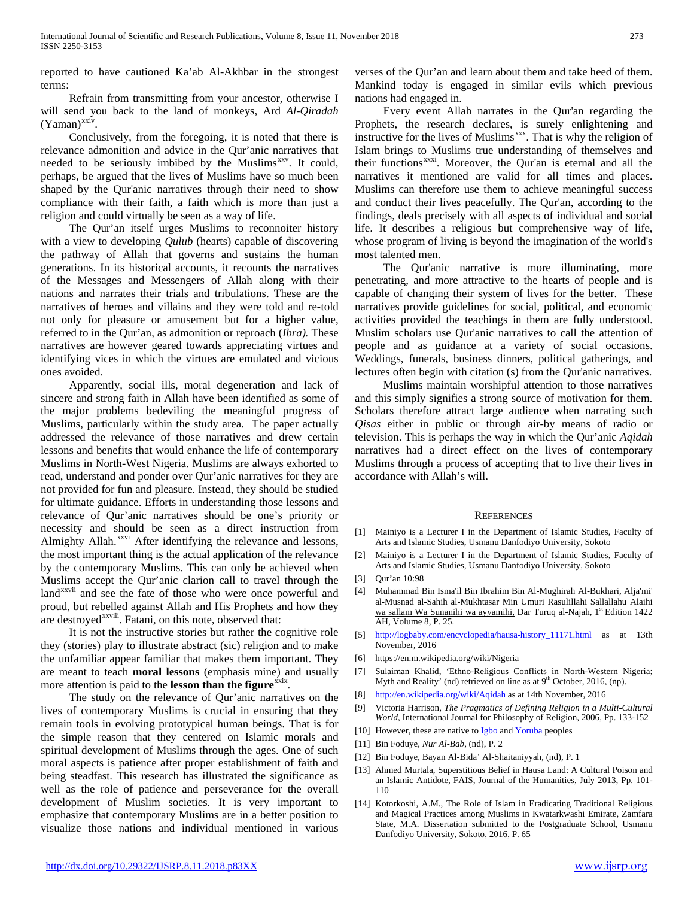reported to have cautioned Ka'ab Al-Akhbar in the strongest terms:

 Refrain from transmitting from your ancestor, otherwise I will send you back to the land of monkeys, Ard *Al-Qiradah*   $(Yaman)^{xxiv}$ .

 Conclusively, from the foregoing, it is noted that there is relevance admonition and advice in the Qur'anic narratives that needed to be seriously imbibed by the Muslims<sup>xxv</sup>. It could, perhaps, be argued that the lives of Muslims have so much been shaped by the Qur'anic narratives through their need to show compliance with their faith, a faith which is more than just a religion and could virtually be seen as a way of life.

 The Qur'an itself urges Muslims to reconnoiter history with a view to developing *Qulub* (hearts) capable of discovering the pathway of Allah that governs and sustains the human generations. In its historical accounts, it recounts the narratives of the Messages and Messengers of Allah along with their nations and narrates their trials and tribulations. These are the narratives of heroes and villains and they were told and re-told not only for pleasure or amusement but for a higher value, referred to in the Qur'an, as admonition or reproach (*Ibra).* These narratives are however geared towards appreciating virtues and identifying vices in which the virtues are emulated and vicious ones avoided.

 Apparently, social ills, moral degeneration and lack of sincere and strong faith in Allah have been identified as some of the major problems bedeviling the meaningful progress of Muslims, particularly within the study area. The paper actually addressed the relevance of those narratives and drew certain lessons and benefits that would enhance the life of contemporary Muslims in North-West Nigeria. Muslims are always exhorted to read, understand and ponder over Qur'anic narratives for they are not provided for fun and pleasure. Instead, they should be studied for ultimate guidance. Efforts in understanding those lessons and relevance of Qur'anic narratives should be one's priority or necessity and should be seen as a direct instruction from Almighty Allah.<sup>[xxvi](#page-15-4)</sup> After identifying the relevance and lessons, land<sup>xxvii</sup> and see the fate of those who were once powerful and are destroyed<sup>xxviii</sup>. Fatani, on this note, observed that: the most important thing is the actual application of the relevance by the contemporary Muslims. This can only be achieved when Musli[ms](#page-15-5) accept the Qur'anic clarion call to travel through the proud, but rebelled against Allah and His Prophets [an](#page-15-6)d how they

 It is not the instructive stories but rather the cognitive role they (stories) play to illustrate abstract (sic) religion and to make the unfamiliar appear familiar that makes them important. They are meant to teach **moral lessons** (emphasis mine) and usually more attention is paid to the **lesson than the figure**<sup>xxix</sup>.

 The study on the relevance of Qur'anic narratives on the lives of contemporary Muslims is crucial in ensuring that they remain tools in evolving prototypical human beings. That is for the simple reason that they centered on Islamic morals and spiritual development of Muslims through the ages. One of such moral aspects is patience after proper establishment of faith and being steadfast. This research has illustrated the significance as well as the role of patience and perseverance for the overall development of Muslim societies. It is very important to emphasize that contemporary Muslims are in a better position to visualize those nations and individual mentioned in various

verses of the Qur'an and learn about them and take heed of them. Mankind today is engaged in similar evils which previous nations had engaged in.

 Every event Allah narrates in the Qur'an regarding the Prophets, the research declares, is surely enlightening and instructive for the lives of Muslims<sup>[xxx](#page-15-8)</sup>. That is why the religion of Islam brings to Muslims true understanding of themselves and their functions<sup>[xxxi](#page-15-9)</sup>. Moreover, the Qur'an is eternal and all the narratives it mentioned are valid for all times and places. Muslims can therefore use them to achieve meaningful success and conduct their lives peacefully. The Qur'an, according to the findings, deals precisely with all aspects of individual and social life. It describes a religious but comprehensive way of life, whose program of living is beyond the imagination of the world's most talented men.

 The Qur'anic narrative is more illuminating, more penetrating, and more attractive to the hearts of people and is capable of changing their system of lives for the better. These narratives provide guidelines for social, political, and economic activities provided the teachings in them are fully understood. Muslim scholars use Qur'anic narratives to call the attention of people and as guidance at a variety of social occasions. Weddings, funerals, business dinners, political gatherings, and lectures often begin with citation (s) from the Qur'anic narratives.

 Muslims maintain worshipful attention to those narratives and this simply signifies a strong source of motivation for them. Scholars therefore attract large audience when narrating such *Qisas* either in public or through air-by means of radio or television. This is perhaps the way in which the Qur'anic *Aqidah*  narratives had a direct effect on the lives of contemporary Muslims through a process of accepting that to live their lives in accordance with Allah's will.

#### **REFERENCES**

- [1] Mainiyo is a Lecturer I in the Department of Islamic Studies, Faculty of Arts and Islamic Studies, Usmanu Danfodiyo University, Sokoto
- [2] Mainiyo is a Lecturer I in the Department of Islamic Studies, Faculty of Arts and Islamic Studies, Usmanu Danfodiyo University, Sokoto
- [3] Qur'an 10:98
- [4] Muhammad Bin Isma'il Bin Ibrahim Bin Al-Mughirah Al-Bukhari, Alja'mi' al-Musnad al-Sahih al-Mukhtasar Min Umuri Rasulillahi Sallallahu Alaihi wa sallam Wa Sunanihi wa ayyamihi, Dar Turuq al-Najah, 1<sup>st</sup> Edition 1422 AH, Volume 8, P. 25.
- [5] [http://logbaby.com/encyclopedia/hausa-history\\_11171.html](http://logbaby.com/encyclopedia/hausa-history_11171.html) as at 13th November, 2016
- [6] https://en.m.wikipedia.org/wiki/Nigeria
- [7] Sulaiman Khalid, 'Ethno-Religious Conflicts in North-Western Nigeria; Myth and Reality' (nd) retrieved on line as at  $9<sup>th</sup>$  October, 2016, (np).
- [8] <http://en.wikipedia.org/wiki/Aqidah> as at 14th November, 2016
- [9] Victoria Harrison, *The Pragmatics of Defining Religion in a Multi-Cultural World*, International Journal for Philosophy of Religion, 2006, Pp. 133-152
- [10] However, these are native to **Igbo** and **Yoruba** peoples
- [11] Bin Foduye, *Nur Al-Bab,* (nd), P. 2
- [12] Bin Foduye, Bayan Al-Bida' Al-Shaitaniyyah, (nd), P. 1
- [13] Ahmed Murtala, Superstitious Belief in Hausa Land: A Cultural Poison and an Islamic Antidote, FAIS, Journal of the Humanities, July 2013, Pp. 101- 110
- [14] Kotorkoshi, A.M., The Role of Islam in Eradicating Traditional Religious and Magical Practices among Muslims in Kwatarkwashi Emirate, Zamfara State, M.A. Dissertation submitted to the Postgraduate School, Usmanu Danfodiyo University, Sokoto, 2016, P. 65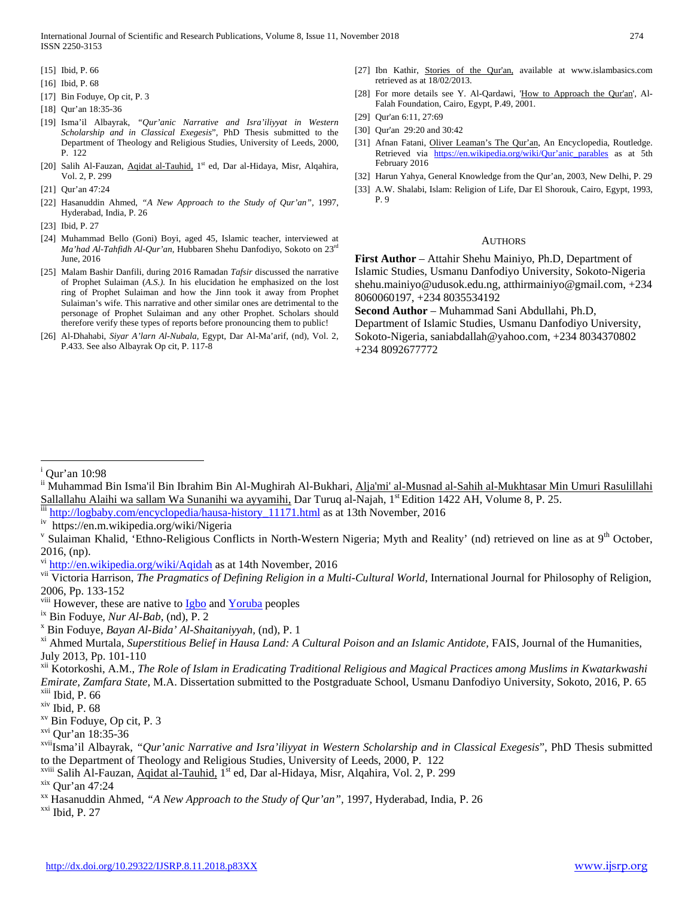International Journal of Scientific and Research Publications, Volume 8, Issue 11, November 2018 274 ISSN 2250-3153

- [15] Ibid, P. 66
- [16] Ibid, P. 68
- [17] Bin Foduye, Op cit, P. 3
- [18] Our'an 18:35-36
- [19] Isma'il Albayrak, *"Qur'anic Narrative and Isra'iliyyat in Western Scholarship and in Classical Exegesis*", PhD Thesis submitted to the Department of Theology and Religious Studies, University of Leeds, 2000, P. 122
- [20] Salih Al-Fauzan, Aqidat al-Tauhid, 1<sup>st</sup> ed, Dar al-Hidaya, Misr, Alqahira, Vol. 2, P. 299
- [21] Qur'an 47:24
- [22] Hasanuddin Ahmed, *"A New Approach to the Study of Qur'an",* 1997, Hyderabad, India, P. 26
- [23] Ibid, P. 27
- [24] Muhammad Bello (Goni) Boyi, aged 45, Islamic teacher, interviewed at *Ma'had Al-Tahfidh Al-Qur'an,* Hubbaren Shehu Danfodiyo, Sokoto on 23rd June, 2016
- [25] Malam Bashir Danfili, during 2016 Ramadan *Tafsir* discussed the narrative of Prophet Sulaiman (*A.S.).* In his elucidation he emphasized on the lost ring of Prophet Sulaiman and how the Jinn took it away from Prophet Sulaiman's wife. This narrative and other similar ones are detrimental to the personage of Prophet Sulaiman and any other Prophet. Scholars should therefore verify these types of reports before pronouncing them to public!
- [26] Al-Dhahabi, *Siyar A'larn Al-Nubala,* Egypt, Dar Al-Ma'arif, (nd), Vol. 2, P.433. See also Albayrak Op cit, P. 117-8
- [27] Ibn Kathir, Stories of the Qur'an, available at www.islambasics.com retrieved as at 18/02/2013.
- [28] For more details see Y. Al-Qardawi, 'How to Approach the Qur'an', Al-Falah Foundation, Cairo, Egypt, P.49, 2001.
- [29] Qur'an 6:11, 27:69
- [30] Qur'an 29:20 and 30:42
- [31] Afnan Fatani, Oliver Leaman's The Qur'an, An Encyclopedia, Routledge. Retrieved via [https://en.wikipedia.org/wiki/Qur'anic\\_parables](https://en.wikipedia.org/wiki/Qur) as at 5th February 2016
- [32] Harun Yahya, General Knowledge from the Qur'an, 2003, New Delhi, P. 29
- [33] A.W. Shalabi, Islam: Religion of Life, Dar El Shorouk, Cairo, Egypt, 1993, P. 9

#### AUTHORS

**First Author** – Attahir Shehu Mainiyo, Ph.D, Department of Islamic Studies, Usmanu Danfodiyo University, Sokoto-Nigeria shehu.mainiyo@udusok.edu.ng, atthirmainiyo@gmail.com, +234 8060060197, +234 8035534192

**Second Author** – Muhammad Sani Abdullahi, Ph.D, Department of Islamic Studies, Usmanu Danfodiyo University, Sokoto-Nigeria, saniabdallah@yahoo.com, +234 8034370802 +234 8092677772

<span id="page-14-3"></span><span id="page-14-2"></span>

<span id="page-14-5"></span><sup>vi</sup> <http://en.wikipedia.org/wiki/Aqidah> as at 14th November, 2016

<span id="page-14-17"></span>

i Qur'an 10:98

<span id="page-14-1"></span><span id="page-14-0"></span>ii Muhammad Bin Isma'il Bin Ibrahim Bin Al-Mughirah Al-Bukhari, Alja'mi' al-Musnad al-Sahih al-Mukhtasar Min Umuri Rasulillahi Sallallahu Alaihi wa sallam Wa Sunanihi wa ayyamihi, Dar Turuq al-Najah, 1<sup>st</sup> Edition 1422 AH, Volume 8, P. 25.<br>iii [http://logbaby.com/encyclopedia/hausa-history\\_11171.html](http://logbaby.com/encyclopedia/hausa-history_11171.html) as at 13th November, 2016<br>iv https://en.m.wikipe

<span id="page-14-4"></span><sup>&</sup>lt;sup>v</sup> Sulaiman Khalid, 'Ethno-Religious Conflicts in North-Western Nigeria; Myth and Reality' (nd) retrieved on line as at 9<sup>th</sup> October, 2016, (np).

<span id="page-14-6"></span><sup>&</sup>lt;sup>VII</sup> Victoria Harrison, *The Pragmatics of Defining Religion in a Multi-Cultural World*, International Journal for Philosophy of Religion, 2006, Pp. 133-152<br><sup>viii</sup> However, these are native to  $I_{\text{gbo}}$  and Yoruba peoples

<span id="page-14-7"></span>

<span id="page-14-10"></span>

<span id="page-14-9"></span><span id="page-14-8"></span><sup>&</sup>lt;sup>ix</sup> Bin Foduye, *Nur Al-Bab*, (nd), P. 2<br><sup>x</sup> Bin Foduye, *Bayan Al-Bida' Al-Shaitaniyyah*, (nd), P. 1<br><sup>xi</sup> Ahmed Murtala, *Superstitious Belief in Hausa Land: A Cultural Poison and an Islamic Antidote, FAIS, Journal of th* July 2013, Pp. 101-110<br><sup>xii</sup> Kotorkoshi, A.M., *The Role of Islam in Eradicating Traditional Religious and Magical Practices among Muslims in Kwatarkwashi* 

<span id="page-14-11"></span>*Emirate, Zamfara State, M.A. Dissertation submitted to the Postgraduate School, Usmanu Danfodiyo University, Sokoto, 2016, P. 65* xiii Ibid, P. 66 xiii Ibid, P. 68

<span id="page-14-12"></span>

<span id="page-14-14"></span><span id="page-14-13"></span> $xv$  Bin Foduye, Op cit, P. 3

<span id="page-14-15"></span>xvi Qur'an 18:35-36

<span id="page-14-16"></span>xviiIsma'il Albayrak, *"Qur'anic Narrative and Isra'iliyyat in Western Scholarship and in Classical Exegesis*", PhD Thesis submitted to the Department of Theology and Religious Studies, University of Leeds, 2000, P. 122<br><sup>xviii</sup> Salih Al-Fauzan, Agidat al-Tauhid, 1<sup>st</sup> ed, Dar al-Hidaya, Misr, Alqahira, Vol. 2, P. 299

<span id="page-14-19"></span><span id="page-14-18"></span><sup>&</sup>lt;sup>xix</sup> Qur'an 47:24<br><sup>xx</sup> Hasanuddin Ahmed, "A *New Approach to the Study of Qur'an*", 1997, Hyderabad, India, P. 26<br><sup>xxi</sup> Ibid, P. 27

<span id="page-14-20"></span>